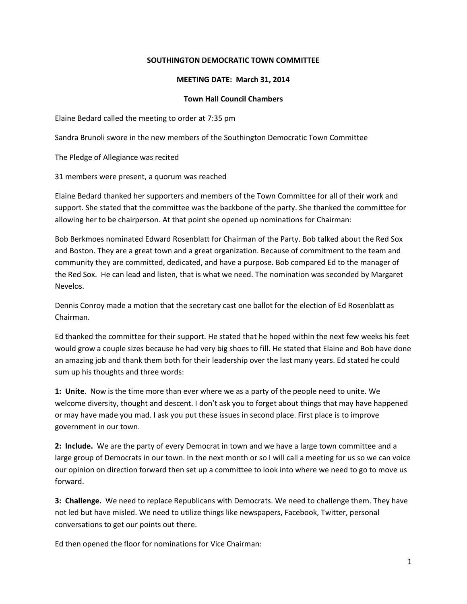## **SOUTHINGTON DEMOCRATIC TOWN COMMITTEE**

### **MEETING DATE: March 31, 2014**

### **Town Hall Council Chambers**

Elaine Bedard called the meeting to order at 7:35 pm

Sandra Brunoli swore in the new members of the Southington Democratic Town Committee

The Pledge of Allegiance was recited

31 members were present, a quorum was reached

Elaine Bedard thanked her supporters and members of the Town Committee for all of their work and support. She stated that the committee was the backbone of the party. She thanked the committee for allowing her to be chairperson. At that point she opened up nominations for Chairman:

Bob Berkmoes nominated Edward Rosenblatt for Chairman of the Party. Bob talked about the Red Sox and Boston. They are a great town and a great organization. Because of commitment to the team and community they are committed, dedicated, and have a purpose. Bob compared Ed to the manager of the Red Sox. He can lead and listen, that is what we need. The nomination was seconded by Margaret Nevelos.

Dennis Conroy made a motion that the secretary cast one ballot for the election of Ed Rosenblatt as Chairman.

Ed thanked the committee for their support. He stated that he hoped within the next few weeks his feet would grow a couple sizes because he had very big shoes to fill. He stated that Elaine and Bob have done an amazing job and thank them both for their leadership over the last many years. Ed stated he could sum up his thoughts and three words:

**1: Unite**. Now is the time more than ever where we as a party of the people need to unite. We welcome diversity, thought and descent. I don't ask you to forget about things that may have happened or may have made you mad. I ask you put these issues in second place. First place is to improve government in our town.

**2: Include.** We are the party of every Democrat in town and we have a large town committee and a large group of Democrats in our town. In the next month or so I will call a meeting for us so we can voice our opinion on direction forward then set up a committee to look into where we need to go to move us forward.

**3: Challenge.** We need to replace Republicans with Democrats. We need to challenge them. They have not led but have misled. We need to utilize things like newspapers, Facebook, Twitter, personal conversations to get our points out there.

Ed then opened the floor for nominations for Vice Chairman: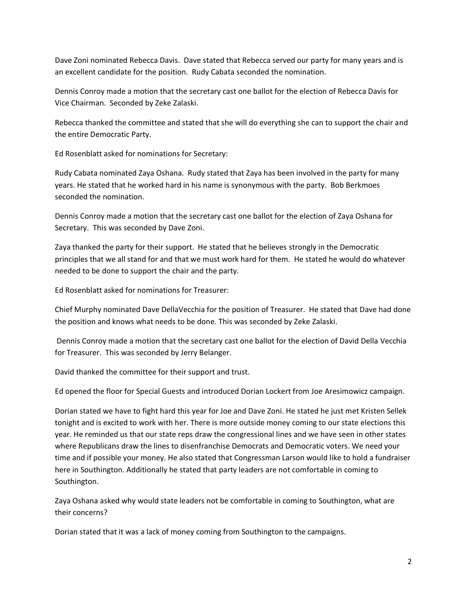Dave Zoni nominated Rebecca Davis. Dave stated that Rebecca served our party for many years and is an excellent candidate for the position. Rudy Cabata seconded the nomination.

Dennis Conroy made a motion that the secretary cast one ballot for the election of Rebecca Davis for Vice Chairman. Seconded by Zeke Zalaski.

Rebecca thanked the committee and stated that she will do everything she can to support the chair and the entire Democratic Party.

Ed Rosenblatt asked for nominations for Secretary:

Rudy Cabata nominated Zaya Oshana. Rudy stated that Zaya has been involved in the party for many years. He stated that he worked hard in his name is synonymous with the party. Bob Berkmoes seconded the nomination.

Dennis Conroy made a motion that the secretary cast one ballot for the election of Zaya Oshana for Secretary. This was seconded by Dave Zoni.

Zaya thanked the party for their support. He stated that he believes strongly in the Democratic principles that we all stand for and that we must work hard for them. He stated he would do whatever needed to be done to support the chair and the party.

Ed Rosenblatt asked for nominations for Treasurer:

Chief Murphy nominated Dave DellaVecchia for the position of Treasurer. He stated that Dave had done the position and knows what needs to be done. This was seconded by Zeke Zalaski.

Dennis Conroy made a motion that the secretary cast one ballot for the election of David Della Vecchia for Treasurer. This was seconded by Jerry Belanger.

David thanked the committee for their support and trust.

Ed opened the floor for Special Guests and introduced Dorian Lockert from Joe Aresimowicz campaign.

Dorian stated we have to fight hard this year for Joe and Dave Zoni. He stated he just met Kristen Sellek tonight and is excited to work with her. There is more outside money coming to our state elections this year. He reminded us that our state reps draw the congressional lines and we have seen in other states where Republicans draw the lines to disenfranchise Democrats and Democratic voters. We need your time and if possible your money. He also stated that Congressman Larson would like to hold a fundraiser here in Southington. Additionally he stated that party leaders are not comfortable in coming to Southington.

Zaya Oshana asked why would state leaders not be comfortable in coming to Southington, what are their concerns?

Dorian stated that it was a lack of money coming from Southington to the campaigns.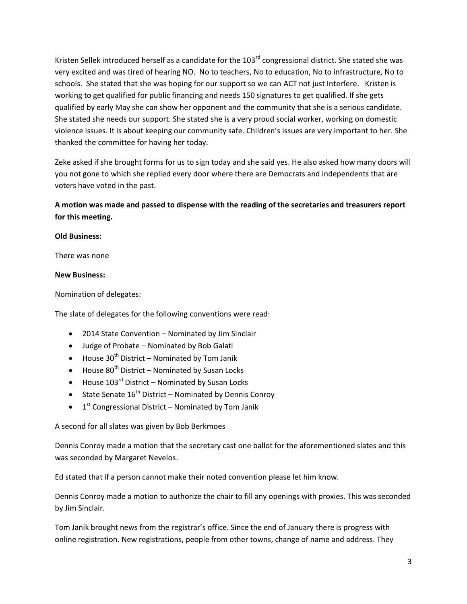Kristen Sellek introduced herself as a candidate for the 103<sup>rd</sup> congressional district. She stated she was very excited and was tired of hearing NO. No to teachers, No to education, No to infrastructure, No to schools. She stated that she was hoping for our support so we can ACT not just Interfere. Kristen is working to get qualified for public financing and needs 150 signatures to get qualified. If she gets qualified by early May she can show her opponent and the community that she is a serious candidate. She stated she needs our support. She stated she is a very proud social worker, working on domestic violence issues. It is about keeping our community safe. Children's issues are very important to her. She thanked the committee for having her today.

Zeke asked if she brought forms for us to sign today and she said yes. He also asked how many doors will you not gone to which she replied every door where there are Democrats and independents that are voters have voted in the past.

# **A motion was made and passed to dispense with the reading of the secretaries and treasurers report for this meeting.**

## **Old Business:**

There was none

## **New Business:**

Nomination of delegates:

The slate of delegates for the following conventions were read:

- 2014 State Convention Nominated by Jim Sinclair
- Judge of Probate Nominated by Bob Galati
- $\bullet$  House 30<sup>th</sup> District Nominated by Tom Janik
- $\bullet$  House 80<sup>th</sup> District Nominated by Susan Locks
- $\bullet$  House 103<sup>rd</sup> District Nominated by Susan Locks
- State Senate  $16^{th}$  District Nominated by Dennis Conroy
- $\bullet$  1<sup>st</sup> Congressional District Nominated by Tom Janik

A second for all slates was given by Bob Berkmoes

Dennis Conroy made a motion that the secretary cast one ballot for the aforementioned slates and this was seconded by Margaret Nevelos.

Ed stated that if a person cannot make their noted convention please let him know.

Dennis Conroy made a motion to authorize the chair to fill any openings with proxies. This was seconded by Jim Sinclair.

Tom Janik brought news from the registrar's office. Since the end of January there is progress with online registration. New registrations, people from other towns, change of name and address. They